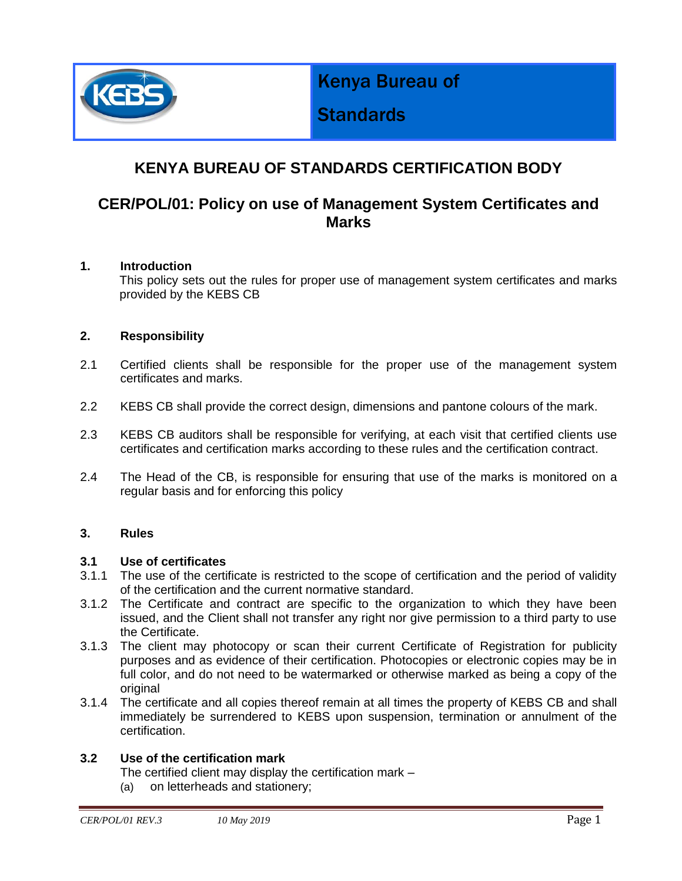

Kenya Bureau of

# **Standards**

## **KENYA BUREAU OF STANDARDS CERTIFICATION BODY**

### **CER/POL/01: Policy on use of Management System Certificates and Marks**

#### **1. Introduction**

This policy sets out the rules for proper use of management system certificates and marks provided by the KEBS CB

#### **2. Responsibility**

- 2.1 Certified clients shall be responsible for the proper use of the management system certificates and marks.
- 2.2 KEBS CB shall provide the correct design, dimensions and pantone colours of the mark.
- 2.3 KEBS CB auditors shall be responsible for verifying, at each visit that certified clients use certificates and certification marks according to these rules and the certification contract.
- 2.4 The Head of the CB, is responsible for ensuring that use of the marks is monitored on a regular basis and for enforcing this policy

#### **3. Rules**

#### **3.1 Use of certificates**

- 3.1.1 The use of the certificate is restricted to the scope of certification and the period of validity of the certification and the current normative standard.
- 3.1.2 The Certificate and contract are specific to the organization to which they have been issued, and the Client shall not transfer any right nor give permission to a third party to use the Certificate.
- 3.1.3 The client may photocopy or scan their current Certificate of Registration for publicity purposes and as evidence of their certification. Photocopies or electronic copies may be in full color, and do not need to be watermarked or otherwise marked as being a copy of the original
- 3.1.4 The certificate and all copies thereof remain at all times the property of KEBS CB and shall immediately be surrendered to KEBS upon suspension, termination or annulment of the certification.

#### **3.2 Use of the certification mark**

The certified client may display the certification mark –

(a) on letterheads and stationery;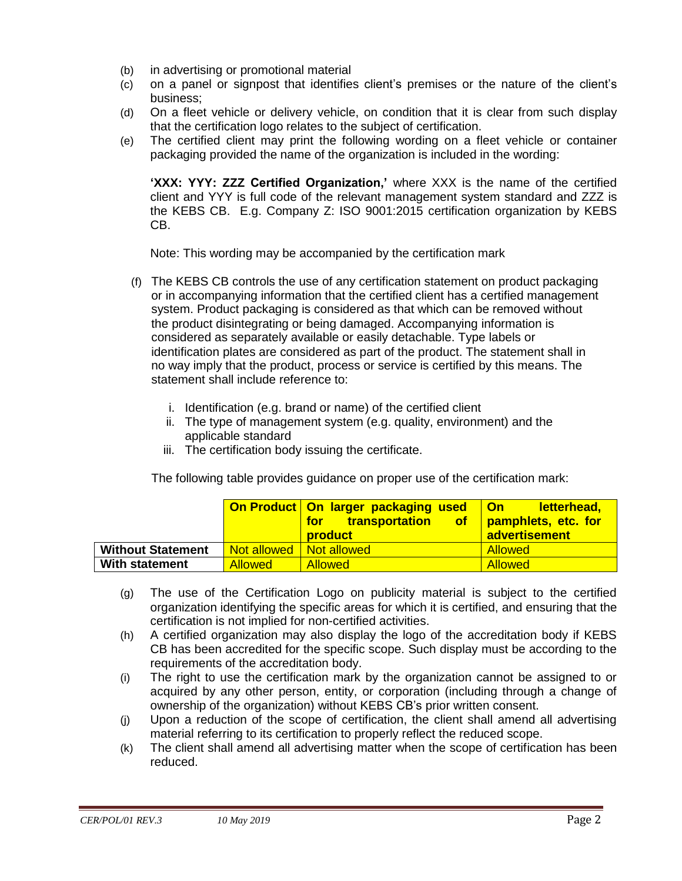- (b) in advertising or promotional material
- (c) on a panel or signpost that identifies client's premises or the nature of the client's business;
- (d) On a fleet vehicle or delivery vehicle, on condition that it is clear from such display that the certification logo relates to the subject of certification.
- (e) The certified client may print the following wording on a fleet vehicle or container packaging provided the name of the organization is included in the wording:

**'XXX: YYY: ZZZ Certified Organization,'** where XXX is the name of the certified client and YYY is full code of the relevant management system standard and ZZZ is the KEBS CB. E.g. Company Z: ISO 9001:2015 certification organization by KEBS CB.

Note: This wording may be accompanied by the certification mark

- (f) The KEBS CB controls the use of any certification statement on product packaging or in accompanying information that the certified client has a certified management system. Product packaging is considered as that which can be removed without the product disintegrating or being damaged. Accompanying information is considered as separately available or easily detachable. Type labels or identification plates are considered as part of the product. The statement shall in no way imply that the product, process or service is certified by this means. The statement shall include reference to:
	- i. Identification (e.g. brand or name) of the certified client
	- ii. The type of management system (e.g. quality, environment) and the applicable standard
	- iii. The certification body issuing the certificate.

The following table provides guidance on proper use of the certification mark:

|                          |                | On Product   On larger packaging used   On<br>transportation of pamphlets, etc. for<br>for <b>7</b><br><b>product</b> | <u>letterhead,</u><br>advertisement |
|--------------------------|----------------|-----------------------------------------------------------------------------------------------------------------------|-------------------------------------|
| <b>Without Statement</b> | Not allowed    | Not allowed                                                                                                           | <b>Allowed</b>                      |
| <b>With statement</b>    | <b>Allowed</b> | <b>Allowed</b>                                                                                                        | <b>Allowed</b>                      |

- (g) The use of the Certification Logo on publicity material is subject to the certified organization identifying the specific areas for which it is certified, and ensuring that the certification is not implied for non-certified activities.
- (h) A certified organization may also display the logo of the accreditation body if KEBS CB has been accredited for the specific scope. Such display must be according to the requirements of the accreditation body.
- (i) The right to use the certification mark by the organization cannot be assigned to or acquired by any other person, entity, or corporation (including through a change of ownership of the organization) without KEBS CB's prior written consent.
- (j) Upon a reduction of the scope of certification, the client shall amend all advertising material referring to its certification to properly reflect the reduced scope.
- (k) The client shall amend all advertising matter when the scope of certification has been reduced.